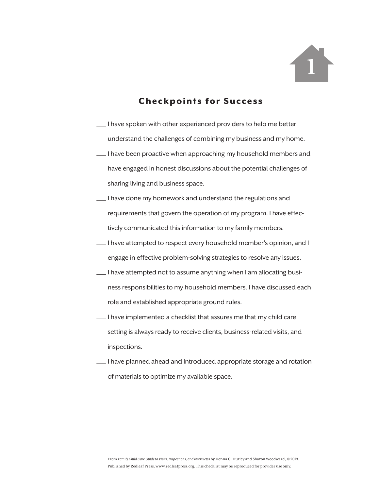

- —I have spoken with other experienced providers to help me better understand the challenges of combining my business and my home.
- —I have been proactive when approaching my household members and have engaged in honest discussions about the potential challenges of sharing living and business space.
- —I have done my homework and understand the regulations and requirements that govern the operation of my program. I have effectively communicated this information to my family members.
- —I have attempted to respect every household member's opinion, and I engage in effective problem-solving strategies to resolve any issues.
- —I have attempted not to assume anything when I am allocating business responsibilities to my household members. I have discussed each role and established appropriate ground rules.
- —I have implemented a checklist that assures me that my child care setting is always ready to receive clients, business-related visits, and inspections.
- —I have planned ahead and introduced appropriate storage and rotation of materials to optimize my available space.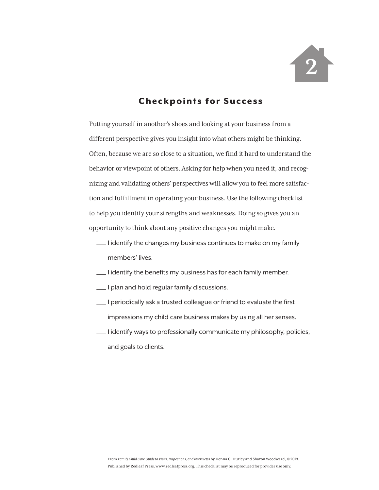

Putting yourself in another's shoes and looking at your business from a different perspective gives you insight into what others might be thinking. Often, because we are so close to a situation, we find it hard to understand the behavior or viewpoint of others. Asking for help when you need it, and recognizing and validating others' perspectives will allow you to feel more satisfaction and fulfillment in operating your business. Use the following checklist to help you identify your strengths and weaknesses. Doing so gives you an opportunity to think about any positive changes you might make.

- —I identify the changes my business continues to make on my family members' lives.
- —I identify the benefits my business has for each family member.
- —I plan and hold regular family discussions.
- —I periodically ask a trusted colleague or friend to evaluate the first impressions my child care business makes by using all her senses.
- —I identify ways to professionally communicate my philosophy, policies, and goals to clients.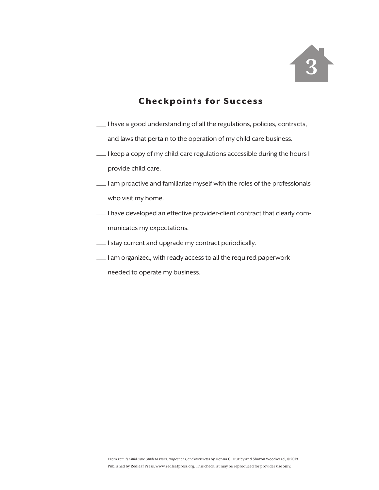

- —I have a good understanding of all the regulations, policies, contracts, and laws that pertain to the operation of my child care business.
- —I keep a copy of my child care regulations accessible during the hours I provide child care.
- —I am proactive and familiarize myself with the roles of the professionals who visit my home.
- —I have developed an effective provider-client contract that clearly communicates my expectations.
- —I stay current and upgrade my contract periodically.
- —I am organized, with ready access to all the required paperwork

needed to operate my business.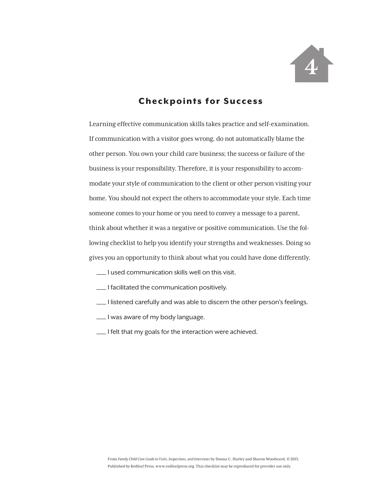

Learning effective communication skills takes practice and self-examination. If communication with a visitor goes wrong, do not automatically blame the other person. You own your child care business; the success or failure of the business is your responsibility. Therefore, it is your responsibility to accommodate your style of communication to the client or other person visiting your home. You should not expect the others to accommodate your style. Each time someone comes to your home or you need to convey a message to a parent, think about whether it was a negative or positive communication. Use the following checklist to help you identify your strengths and weaknesses. Doing so gives you an opportunity to think about what you could have done differently.

- —I used communication skills well on this visit.
- —I facilitated the communication positively.
- —I listened carefully and was able to discern the other person's feelings.
- —I was aware of my body language.
- —I felt that my goals for the interaction were achieved.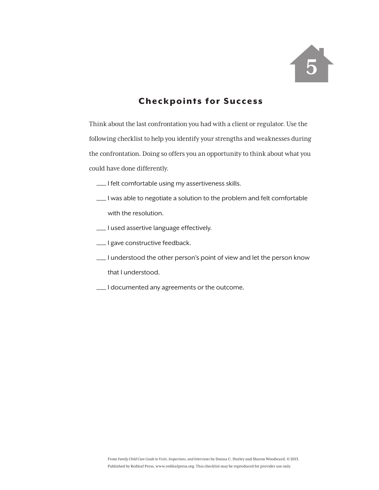

Think about the last confrontation you had with a client or regulator. Use the following checklist to help you identify your strengths and weaknesses during the confrontation. Doing so offers you an opportunity to think about what you could have done differently.

- —I felt comfortable using my assertiveness skills.
- —I was able to negotiate a solution to the problem and felt comfortable with the resolution.
- —I used assertive language effectively.
- —I gave constructive feedback.
- —I understood the other person's point of view and let the person know that I understood.
- —I documented any agreements or the outcome.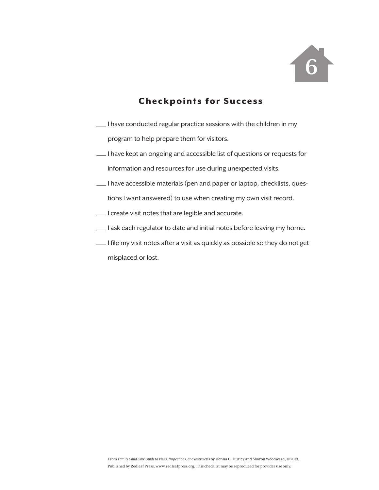

- —I have conducted regular practice sessions with the children in my program to help prepare them for visitors.
- —I have kept an ongoing and accessible list of questions or requests for information and resources for use during unexpected visits.
- —I have accessible materials (pen and paper or laptop, checklists, questions I want answered) to use when creating my own visit record.
- —I create visit notes that are legible and accurate.
- —I ask each regulator to date and initial notes before leaving my home.
- $\lfloor \cdot \rfloor$  file my visit notes after a visit as quickly as possible so they do not get misplaced or lost.